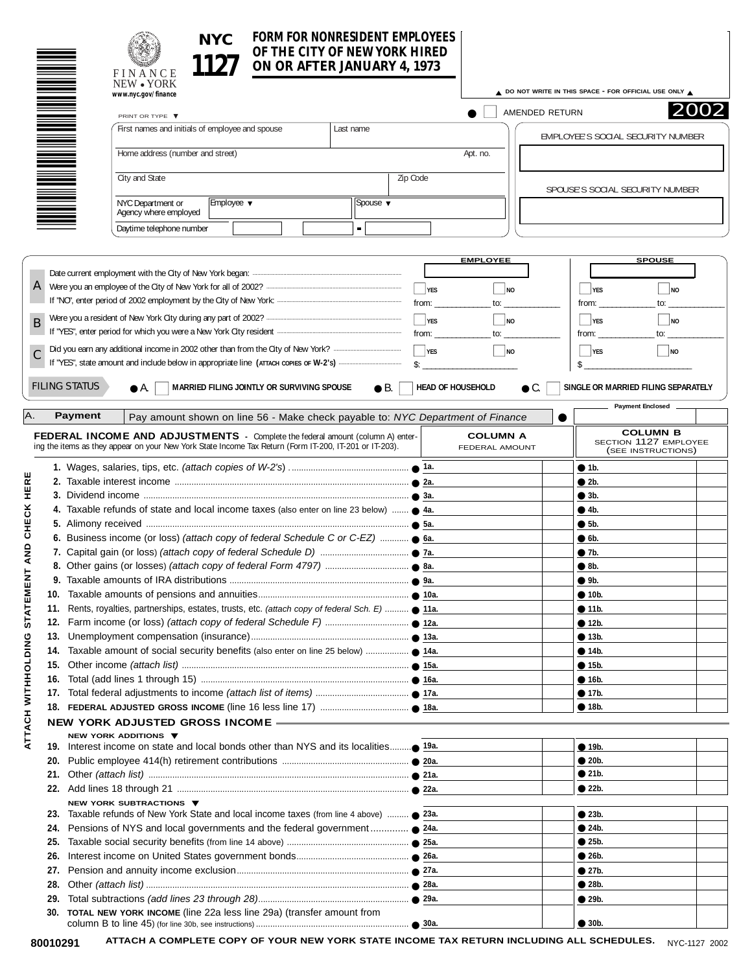## **FORM FOR NONRESIDENT EMPLOYEES OF THE CITY OF NEW YORK HIRED ON OR AFTER JANUARY 4, 1973 NYC**

|                   | OF THE CITY OF NEW YORK HIRED                                                                                                                                                            |                                                        |                                |                                   |                                    |                                                                |  |  |
|-------------------|------------------------------------------------------------------------------------------------------------------------------------------------------------------------------------------|--------------------------------------------------------|--------------------------------|-----------------------------------|------------------------------------|----------------------------------------------------------------|--|--|
|                   | NEW • YORK                                                                                                                                                                               | ON OR AFTER JANUARY 4, 1973<br>FINANCE                 |                                |                                   |                                    |                                                                |  |  |
|                   | www.nyc.gov/finance                                                                                                                                                                      | △ DO NOT WRITE IN THIS SPACE - FOR OFFICIAL USE ONLY △ |                                |                                   |                                    |                                                                |  |  |
|                   | PRINT OR TYPE ▼                                                                                                                                                                          |                                                        | AMENDED RETURN                 | 2002                              |                                    |                                                                |  |  |
|                   | First names and initials of employee and spouse<br>Last name                                                                                                                             |                                                        |                                |                                   | EMPLOYEE'S SOCIAL SECURITY NUMBER  |                                                                |  |  |
|                   | Home address (number and street)                                                                                                                                                         |                                                        |                                | Apt. no.                          |                                    |                                                                |  |  |
|                   | City and State                                                                                                                                                                           |                                                        | Zip Code                       |                                   |                                    |                                                                |  |  |
|                   | NYC Department or<br>Employee $\blacktriangledown$<br>Spouse $\blacktriangledown$                                                                                                        |                                                        |                                |                                   | SPOUSE'S SOCIAL SECURITY NUMBER    |                                                                |  |  |
|                   | Agency where employed                                                                                                                                                                    |                                                        |                                |                                   |                                    |                                                                |  |  |
|                   | Daytime telephone number                                                                                                                                                                 | $\blacksquare$                                         |                                |                                   |                                    |                                                                |  |  |
|                   |                                                                                                                                                                                          |                                                        |                                |                                   |                                    |                                                                |  |  |
|                   |                                                                                                                                                                                          |                                                        |                                | <b>EMPLOYEE</b>                   |                                    | <b>SPOUSE</b>                                                  |  |  |
| $\mathbf{A}$      |                                                                                                                                                                                          |                                                        | $\Box$ YES                     | NQ                                | $\perp$ YES                        | $\Box$ NO                                                      |  |  |
|                   |                                                                                                                                                                                          |                                                        | from: $\overline{\phantom{a}}$ | to:                               | from:                              | to:                                                            |  |  |
|                   |                                                                                                                                                                                          |                                                        | $\Box$ YES                     | $\Box$ NO                         | $\overline{\phantom{a}}$ YES       | $\vert \vert_{\text{NO}}$                                      |  |  |
| B                 |                                                                                                                                                                                          |                                                        | from:                          | to:                               | from:                              | to:                                                            |  |  |
|                   |                                                                                                                                                                                          |                                                        |                                |                                   |                                    |                                                                |  |  |
|                   |                                                                                                                                                                                          |                                                        | $\Box$ YES<br>$\mathsf{\$}$ :  | $\Box$ NO                         | $\overline{\phantom{a}}$ YES<br>\$ | $\blacksquare$ NO                                              |  |  |
|                   |                                                                                                                                                                                          |                                                        |                                |                                   |                                    |                                                                |  |  |
|                   | <b>FILING STATUS</b><br>MARRIED FILING JOINTLY OR SURVIVING SPOUSE<br>$\bullet$ A.                                                                                                       | $\bullet$ B.                                           | <b>HEAD OF HOUSEHOLD</b>       | $\bullet$ C.                      |                                    | SINGLE OR MARRIED FILING SEPARATELY                            |  |  |
|                   |                                                                                                                                                                                          |                                                        |                                |                                   |                                    | <b>Payment Enclosed</b>                                        |  |  |
| А.                | Payment<br>Pay amount shown on line 56 - Make check payable to: NYC Department of Finance                                                                                                |                                                        |                                |                                   |                                    |                                                                |  |  |
|                   | FEDERAL INCOME AND ADJUSTMENTS - Complete the federal amount (column A) enter-<br>ing the items as they appear on your New York State Income Tax Return (Form IT-200, IT-201 or IT-203). |                                                        |                                | <b>COLUMN A</b><br>FEDERAL AMOUNT |                                    | <b>COLUMN B</b><br>SECTION 1127 EMPLOYEE<br>(SEE INSTRUCTIONS) |  |  |
|                   |                                                                                                                                                                                          |                                                        |                                |                                   | • 1b.                              |                                                                |  |  |
| HERE              |                                                                                                                                                                                          |                                                        |                                |                                   | • 2b.                              |                                                                |  |  |
|                   |                                                                                                                                                                                          |                                                        |                                |                                   | • 3b.                              |                                                                |  |  |
|                   | 4. Taxable refunds of state and local income taxes (also enter on line 23 below) $\bullet$ 4a.                                                                                           |                                                        |                                |                                   | • 4b.                              |                                                                |  |  |
| CHECK             |                                                                                                                                                                                          |                                                        |                                |                                   | • 5b.                              |                                                                |  |  |
|                   | 6. Business income (or loss) (attach copy of federal Schedule C or C-EZ) $\bullet$ 6a.                                                                                                   |                                                        |                                |                                   | $\bullet$ 6b.                      |                                                                |  |  |
| AND               |                                                                                                                                                                                          |                                                        |                                |                                   | $\bullet$ 7b.                      |                                                                |  |  |
| <b>NH</b>         |                                                                                                                                                                                          |                                                        |                                |                                   | $\bullet$ 8b.<br>9b.               |                                                                |  |  |
|                   |                                                                                                                                                                                          |                                                        |                                |                                   | • 10b.                             |                                                                |  |  |
|                   | 11. Rents, royalties, partnerships, estates, trusts, etc. (attach copy of federal Sch. E)  11a.<br>12.                                                                                   |                                                        |                                |                                   |                                    | • 11b.                                                         |  |  |
| <b>STAT</b>       |                                                                                                                                                                                          |                                                        |                                |                                   | • 12b.                             |                                                                |  |  |
| 13.               |                                                                                                                                                                                          |                                                        |                                |                                   | • 13b.                             |                                                                |  |  |
| 14.               |                                                                                                                                                                                          |                                                        |                                |                                   | • 14b.                             |                                                                |  |  |
|                   | 15.                                                                                                                                                                                      |                                                        |                                |                                   | • 15b.                             |                                                                |  |  |
| 16.               |                                                                                                                                                                                          |                                                        |                                |                                   | • 16b.                             |                                                                |  |  |
|                   |                                                                                                                                                                                          |                                                        |                                |                                   | • 17b.                             |                                                                |  |  |
| ATTACH WITHOLDING |                                                                                                                                                                                          |                                                        |                                |                                   | $\bullet$ 18b.                     |                                                                |  |  |
|                   | NEW YORK ADJUSTED GROSS INCOME -                                                                                                                                                         |                                                        |                                |                                   |                                    |                                                                |  |  |
|                   | NEW YORK ADDITIONS ▼                                                                                                                                                                     |                                                        |                                |                                   | $\bullet$ 19b.                     |                                                                |  |  |
| 20.               |                                                                                                                                                                                          |                                                        |                                |                                   | • 20b.                             |                                                                |  |  |
|                   |                                                                                                                                                                                          |                                                        |                                |                                   | $\bullet$ 21b.                     |                                                                |  |  |
|                   |                                                                                                                                                                                          |                                                        |                                |                                   | • 22b.                             |                                                                |  |  |
|                   | NEW YORK SUBTRACTIONS ▼                                                                                                                                                                  |                                                        |                                |                                   |                                    |                                                                |  |  |
| 23.               | Taxable refunds of New York State and local income taxes (from line 4 above)  23a.                                                                                                       |                                                        |                                |                                   | • 23b.                             |                                                                |  |  |
| 24.               | Pensions of NYS and local governments and the federal government ● 24a.                                                                                                                  |                                                        |                                |                                   | $\bullet$ 24b.                     |                                                                |  |  |
| 25.               |                                                                                                                                                                                          |                                                        |                                |                                   | • 25b.                             |                                                                |  |  |
| 26.               |                                                                                                                                                                                          |                                                        |                                |                                   | • 26b.                             |                                                                |  |  |
| 27.               |                                                                                                                                                                                          |                                                        |                                |                                   | • 27b.                             |                                                                |  |  |
| 28.               |                                                                                                                                                                                          |                                                        |                                |                                   | • 28b.                             |                                                                |  |  |
| 29.               |                                                                                                                                                                                          |                                                        |                                |                                   | • 29b.                             |                                                                |  |  |
| 30.               | TOTAL NEW YORK INCOME (line 22a less line 29a) (transfer amount from                                                                                                                     |                                                        |                                |                                   | • 30b.                             |                                                                |  |  |

80010291 ATTACH A COMPLETE COPY OF YOUR NEW YORK STATE INCOME TAX RETURN INCLUDING ALL SCHEDULES. <sub>NYC-1127 2002</sub>